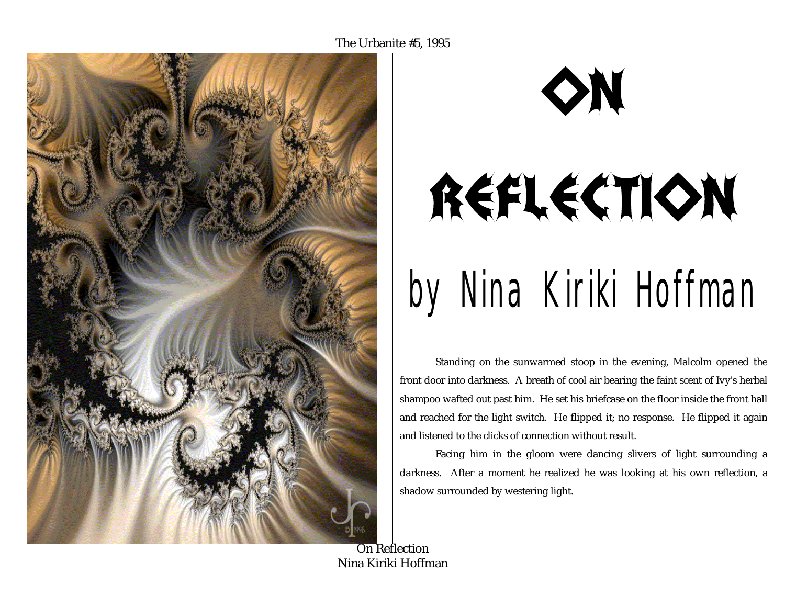



Standing on the sunwarmed stoop in the evening, Malcolm opened the front door into darkness. A breath of cool air bearing the faint scent of Ivy's herbal shampoo wafted out past him. He set his briefcase on the floor inside the front hall and reached for the light switch. He flipped it; no response. He flipped it again and listened to the clicks of connection without result.

Facing him in the gloom were dancing slivers of light surrounding a darkness. After a moment he realized he was looking at his own reflection, a shadow surrounded by westering light.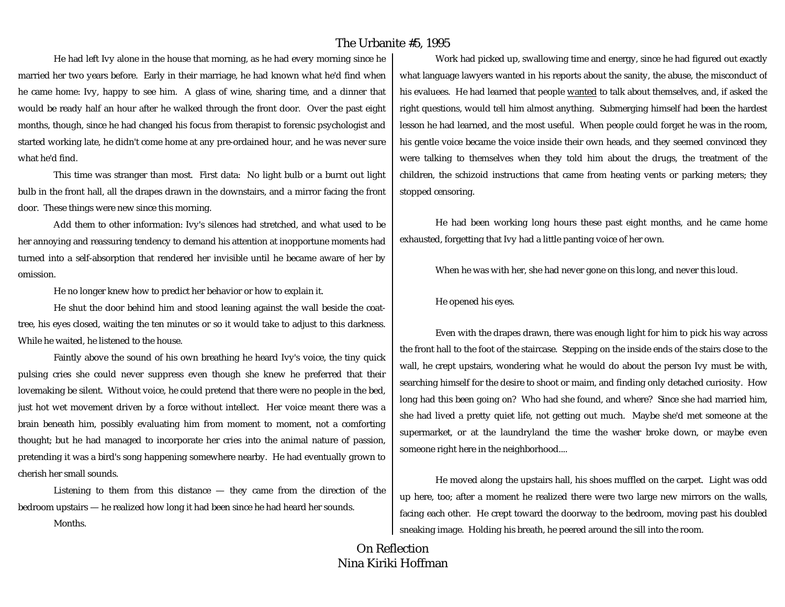He had left Ivy alone in the house that morning, as he had every morning since he married her two years before. Early in their marriage, he had known what he'd find when he came home: Ivy, happy to see him. A glass of wine, sharing time, and a dinner that would be ready half an hour after he walked through the front door. Over the past eight months, though, since he had changed his focus from therapist to forensic psychologist and started working late, he didn't come home at any pre-ordained hour, and he was never sure what he'd find.

This time was stranger than most. First data: No light bulb or a burnt out light bulb in the front hall, all the drapes drawn in the downstairs, and a mirror facing the front door. These things were new since this morning.

Add them to other information: Ivy's silences had stretched, and what used to be her annoying and reassuring tendency to demand his attention at inopportune moments had turned into a self-absorption that rendered her invisible until he became aware of her by omission.

He no longer knew how to predict her behavior or how to explain it.

He shut the door behind him and stood leaning against the wall beside the coattree, his eyes closed, waiting the ten minutes or so it would take to adjust to this darkness. While he waited, he listened to the house.

Faintly above the sound of his own breathing he heard Ivy's voice, the tiny quick pulsing cries she could never suppress even though she knew he preferred that their lovemaking be silent. Without voice, he could pretend that there were no people in the bed, just hot wet movement driven by a force without intellect. Her voice meant there was a brain beneath him, possibly evaluating him from moment to moment, not a comforting thought; but he had managed to incorporate her cries into the animal nature of passion, pretending it was a bird's song happening somewhere nearby. He had eventually grown to cherish her small sounds.

Listening to them from this distance — they came from the direction of the bedroom upstairs — he realized how long it had been since he had heard her sounds. Months.

Work had picked up, swallowing time and energy, since he had figured out exactly what language lawyers wanted in his reports about the sanity, the abuse, the misconduct of his evaluees. He had learned that people wanted to talk about themselves, and, if asked the right questions, would tell him almost anything. Submerging himself had been the hardest lesson he had learned, and the most useful. When people could forget he was in the room, his gentle voice became the voice inside their own heads, and they seemed convinced they were talking to themselves when they told him about the drugs, the treatment of the children, the schizoid instructions that came from heating vents or parking meters; they stopped censoring.

He had been working long hours these past eight months, and he came home exhausted, forgetting that Ivy had a little panting voice of her own.

When he was with her, she had never gone on this long, and never this loud.

He opened his eyes.

Even with the drapes drawn, there was enough light for him to pick his way across the front hall to the foot of the staircase. Stepping on the inside ends of the stairs close to the wall, he crept upstairs, wondering what he would do about the person Ivy must be with, searching himself for the desire to shoot or maim, and finding only detached curiosity. How long had this been going on? Who had she found, and where? Since she had married him, she had lived a pretty quiet life, not getting out much. Maybe she'd met someone at the supermarket, or at the laundryland the time the washer broke down, or maybe even someone right here in the neighborhood....

He moved along the upstairs hall, his shoes muffled on the carpet. Light was odd up here, too; after a moment he realized there were two large new mirrors on the walls, facing each other. He crept toward the doorway to the bedroom, moving past his doubled sneaking image. Holding his breath, he peered around the sill into the room.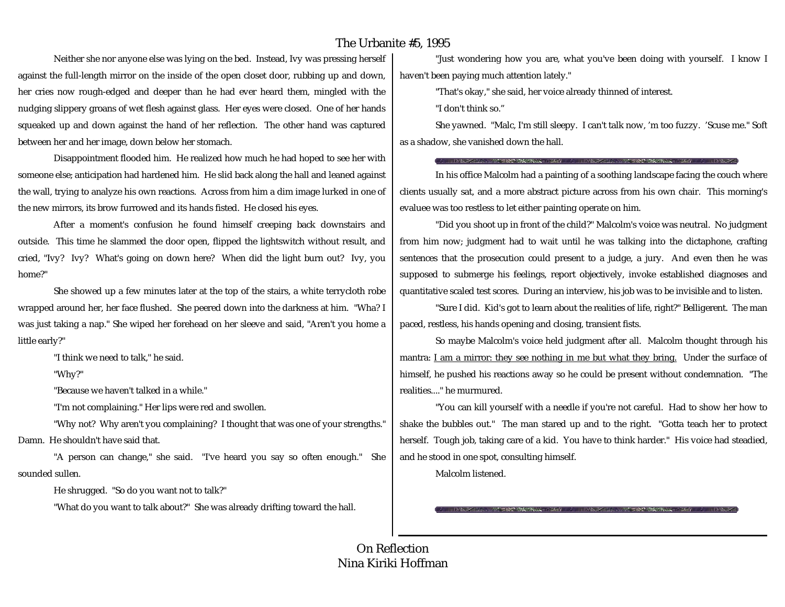Neither she nor anyone else was lying on the bed. Instead, Ivy was pressing herself against the full-length mirror on the inside of the open closet door, rubbing up and down, her cries now rough-edged and deeper than he had ever heard them, mingled with the nudging slippery groans of wet flesh against glass. Her eyes were closed. One of her hands squeaked up and down against the hand of her reflection. The other hand was captured between her and her image, down below her stomach.

Disappointment flooded him. He realized how much he had hoped to see her with someone else; anticipation had hardened him. He slid back along the hall and leaned against the wall, trying to analyze his own reactions. Across from him a dim image lurked in one of the new mirrors, its brow furrowed and its hands fisted. He closed his eyes.

After a moment's confusion he found himself creeping back downstairs and outside. This time he slammed the door open, flipped the lightswitch without result, and cried, "Ivy? Ivy? What's going on down here? When did the light burn out? Ivy, you home?"

She showed up a few minutes later at the top of the stairs, a white terrycloth robe wrapped around her, her face flushed. She peered down into the darkness at him. "Wha? I was just taking a nap." She wiped her forehead on her sleeve and said, "Aren't you home a little early?"

"I think we need to talk," he said.

"Why?"

"Because we haven't talked in a while."

"I'm not complaining." Her lips were red and swollen.

"Why not? Why aren't you complaining? I thought that was one of your strengths." Damn. He shouldn't have said that.

"A person can change," she said. "I've heard you say so often enough." She sounded sullen.

He shrugged. "So do you want not to talk?"

"What do you want to talk about?" She was already drifting toward the hall.

"Just wondering how you are, what you've been doing with yourself. I know I haven't been paying much attention lately."

"That's okay," she said, her voice already thinned of interest.

"I don't think so."

She yawned. "Malc, I'm still sleepy. I can't talk now, 'm too fuzzy. 'Scuse me." Soft as a shadow, she vanished down the hall.

**IN A 1990 - A CHARLES MARKET SECOND CONTACT THE ANNU** 

In his office Malcolm had a painting of a soothing landscape facing the couch where clients usually sat, and a more abstract picture across from his own chair. This morning's evaluee was too restless to let either painting operate on him.

"Did you shoot up in front of the child?" Malcolm's voice was neutral. No judgment from him now; judgment had to wait until he was talking into the dictaphone, crafting sentences that the prosecution could present to a judge, a jury. And even then he was supposed to submerge his feelings, report objectively, invoke established diagnoses and quantitative scaled test scores. During an interview, his job was to be invisible and to listen.

"Sure I did. Kid's got to learn about the realities of life, right?" Belligerent. The man paced, restless, his hands opening and closing, transient fists.

So maybe Malcolm's voice held judgment after all. Malcolm thought through his mantra: I am a mirror: they see nothing in me but what they bring.Under the surface of himself, he pushed his reactions away so he could be present without condemnation. "The realities...." he murmured.

"You can kill yourself with a needle if you're not careful. Had to show her how to shake the bubbles out." The man stared up and to the right. "Gotta teach her to protect herself. Tough job, taking care of a kid. You have to think harder." His voice had steadied, and he stood in one spot, consulting himself.

Malcolm listened.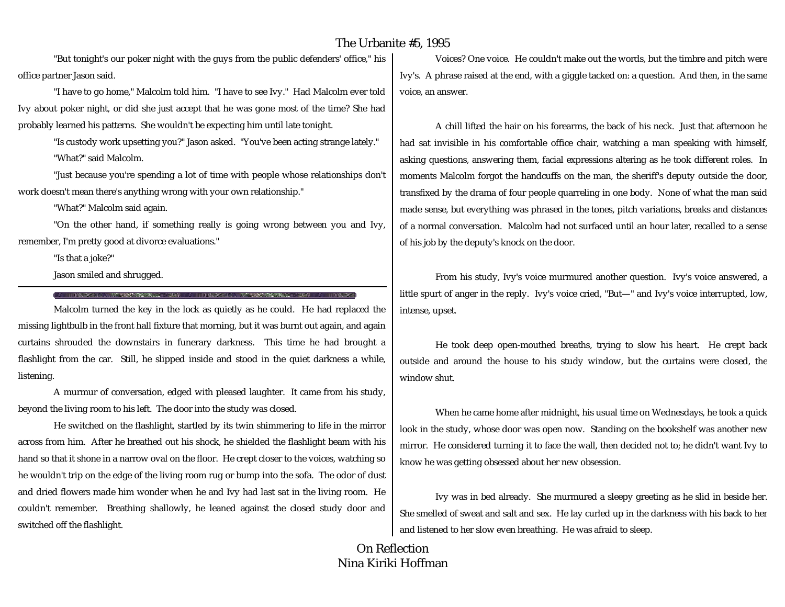"But tonight's our poker night with the guys from the public defenders' office," his office partner Jason said.

"I have to go home," Malcolm told him. "I have to see Ivy." Had Malcolm ever told Ivy about poker night, or did she just accept that he was gone most of the time? She had probably learned his patterns. She wouldn't be expecting him until late tonight.

"Is custody work upsetting you?" Jason asked. "You've been acting strange lately." "What?" said Malcolm.

"Just because you're spending a lot of time with people whose relationships don't work doesn't mean there's anything wrong with your own relationship."

"What?" Malcolm said again.

"On the other hand, if something really is going wrong between you and Ivy, remember, I'm pretty good at divorce evaluations."

"Is that a joke?"

Jason smiled and shrugged.

THE TANK TO THE TURN OF THE TERM OF THE TABLE TO THE TURN.

Malcolm turned the key in the lock as quietly as he could. He had replaced the missing lightbulb in the front hall fixture that morning, but it was burnt out again, and again curtains shrouded the downstairs in funerary darkness. This time he had brought a flashlight from the car. Still, he slipped inside and stood in the quiet darkness a while, listening.

A murmur of conversation, edged with pleased laughter. It came from his study, beyond the living room to his left. The door into the study was closed.

He switched on the flashlight, startled by its twin shimmering to life in the mirror across from him. After he breathed out his shock, he shielded the flashlight beam with his hand so that it shone in a narrow oval on the floor. He crept closer to the voices, watching so he wouldn't trip on the edge of the living room rug or bump into the sofa. The odor of dust and dried flowers made him wonder when he and Ivy had last sat in the living room. He couldn't remember. Breathing shallowly, he leaned against the closed study door and switched off the flashlight.

Voices? One voice. He couldn't make out the words, but the timbre and pitch were Ivy's. A phrase raised at the end, with a giggle tacked on: a question. And then, in the same voice, an answer.

A chill lifted the hair on his forearms, the back of his neck. Just that afternoon he had sat invisible in his comfortable office chair, watching a man speaking with himself, asking questions, answering them, facial expressions altering as he took different roles. In moments Malcolm forgot the handcuffs on the man, the sheriff's deputy outside the door, transfixed by the drama of four people quarreling in one body. None of what the man said made sense, but everything was phrased in the tones, pitch variations, breaks and distances of a normal conversation. Malcolm had not surfaced until an hour later, recalled to a sense of his job by the deputy's knock on the door.

From his study, Ivy's voice murmured another question. Ivy's voice answered, a little spurt of anger in the reply. Ivy's voice cried, "But—" and Ivy's voice interrupted, low, intense, upset.

He took deep open-mouthed breaths, trying to slow his heart. He crept back outside and around the house to his study window, but the curtains were closed, the window shut.

When he came home after midnight, his usual time on Wednesdays, he took a quick look in the study, whose door was open now. Standing on the bookshelf was another new mirror. He considered turning it to face the wall, then decided not to; he didn't want Ivy to know he was getting obsessed about her new obsession.

Ivy was in bed already. She murmured a sleepy greeting as he slid in beside her. She smelled of sweat and salt and sex. He lay curled up in the darkness with his back to her and listened to her slow even breathing. He was afraid to sleep.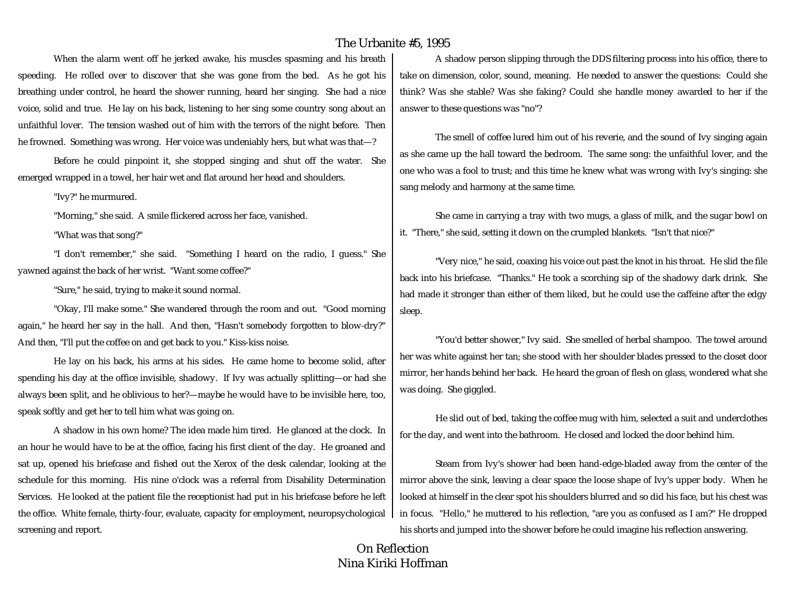When the alarm went off he jerked awake, his muscles spasming and his breath speeding. He rolled over to discover that she was gone from the bed. As he got his breathing under control, he heard the shower running, heard her singing. She had a nice voice, solid and true. He lay on his back, listening to her sing some country song about an unfaithful lover. The tension washed out of him with the terrors of the night before. Then he frowned. Something was wrong. Her voice was undeniably hers, but what was that—?

Before he could pinpoint it, she stopped singing and shut off the water. She emerged wrapped in a towel, her hair wet and flat around her head and shoulders.

"Ivy?" he murmured.

"Morning," she said. A smile flickered across her face, vanished.

"What was that song?"

"I don't remember," she said. "Something I heard on the radio, I guess." She yawned against the back of her wrist. "Want some coffee?"

"Sure," he said, trying to make it sound normal.

"Okay, I'll make some." She wandered through the room and out. "Good morning again," he heard her say in the hall. And then, "Hasn't somebody forgotten to blow-dry?" And then, "I'll put the coffee on and get back to you." Kiss-kiss noise.

He lay on his back, his arms at his sides. He came home to become solid, after spending his day at the office invisible, shadowy. If Ivy was actually splitting—or had she always been split, and he oblivious to her?—maybe he would have to be invisible here, too, speak softly and get her to tell him what was going on.

A shadow in his own home? The idea made him tired. He glanced at the clock. In an hour he would have to be at the office, facing his first client of the day. He groaned and sat up, opened his briefcase and fished out the Xerox of the desk calendar, looking at the schedule for this morning. His nine o'clock was a referral from Disability Determination Services. He looked at the patient file the receptionist had put in his briefcase before he left the office. White female, thirty-four, evaluate, capacity for employment, neuropsychological screening and report.

A shadow person slipping through the DDS filtering process into his office, there to take on dimension, color, sound, meaning. He needed to answer the questions: Could she think? Was she stable? Was she faking? Could she handle money awarded to her if the answer to these questions was "no"?

The smell of coffee lured him out of his reverie, and the sound of Ivy singing again as she came up the hall toward the bedroom. The same song: the unfaithful lover, and the one who was a fool to trust; and this time he knew what was wrong with Ivy's singing: she sang melody and harmony at the same time.

She came in carrying a tray with two mugs, a glass of milk, and the sugar bowl on it. "There," she said, setting it down on the crumpled blankets. "Isn't that nice?"

"Very nice," he said, coaxing his voice out past the knot in his throat. He slid the file back into his briefcase. "Thanks." He took a scorching sip of the shadowy dark drink. She had made it stronger than either of them liked, but he could use the caffeine after the edgy sleep.

"You'd better shower," Ivy said. She smelled of herbal shampoo. The towel around her was white against her tan; she stood with her shoulder blades pressed to the closet door mirror, her hands behind her back. He heard the groan of flesh on glass, wondered what she was doing. She giggled.

He slid out of bed, taking the coffee mug with him, selected a suit and underclothes for the day, and went into the bathroom. He closed and locked the door behind him.

Steam from Ivy's shower had been hand-edge-bladed away from the center of the mirror above the sink, leaving a clear space the loose shape of Ivy's upper body. When he looked at himself in the clear spot his shoulders blurred and so did his face, but his chest was in focus. "Hello," he muttered to his reflection, "are you as confused as I am?" He dropped his shorts and jumped into the shower before he could imagine his reflection answering.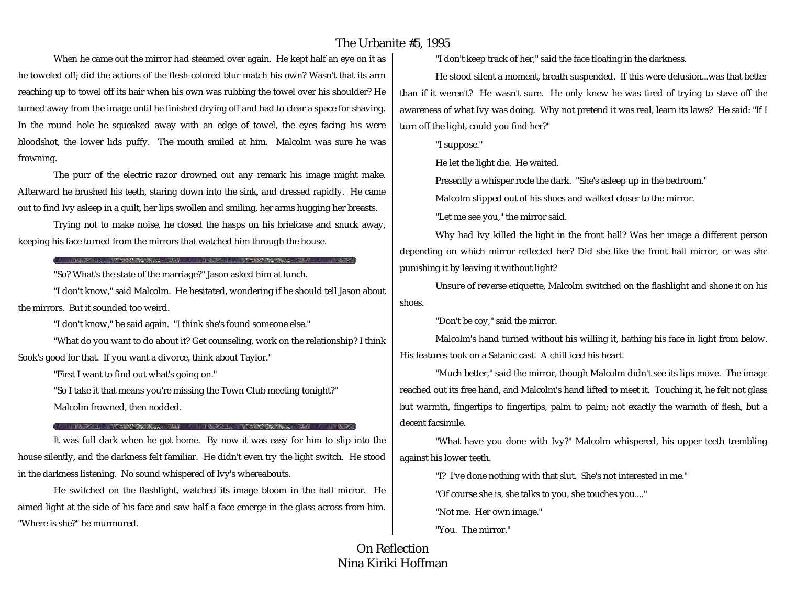When he came out the mirror had steamed over again. He kept half an eye on it as he toweled off; did the actions of the flesh-colored blur match his own? Wasn't that its arm reaching up to towel off its hair when his own was rubbing the towel over his shoulder? He turned away from the image until he finished drying off and had to clear a space for shaving. In the round hole he squeaked away with an edge of towel, the eyes facing his were bloodshot, the lower lids puffy. The mouth smiled at him. Malcolm was sure he was frowning.

The purr of the electric razor drowned out any remark his image might make. Afterward he brushed his teeth, staring down into the sink, and dressed rapidly. He came out to find Ivy asleep in a quilt, her lips swollen and smiling, her arms hugging her breasts.

Trying not to make noise, he closed the hasps on his briefcase and snuck away, keeping his face turned from the mirrors that watched him through the house.

#### THE RESIDENCE OF THE RESIDENCE OF THE RESIDENCE OF THE RESIDENCE OF THE RESIDENCE OF THE RESIDENCE OF THE RESIDENCE OF THE RESIDENCE OF THE RESIDENCE OF THE RESIDENCE OF THE RESIDENCE OF THE RESIDENCE OF THE RESIDENCE OF T

"So? What's the state of the marriage?" Jason asked him at lunch.

"I don't know," said Malcolm. He hesitated, wondering if he should tell Jason about the mirrors. But it sounded too weird.

"I don't know," he said again. "I think she's found someone else."

"What do you want to do about it? Get counseling, work on the relationship? I think Sook's good for that. If you want a divorce, think about Taylor."

"First I want to find out what's going on."

"So I take it that means you're missing the Town Club meeting tonight?" Malcolm frowned, then nodded.

#### THE TABLE TO THE TABLE TO THE TABLE TO THE TABLE TO THE TABLE TO THE TABLE TO THE TABLE TO THE TABLE TO THE TABLE TO THE TABLE TO THE TABLE TO THE TABLE TO THE TABLE TO THE TABLE TO THE TABLE TO THE TABLE TO THE TABLE TO T

It was full dark when he got home. By now it was easy for him to slip into the house silently, and the darkness felt familiar. He didn't even try the light switch. He stood in the darkness listening. No sound whispered of Ivy's whereabouts.

He switched on the flashlight, watched its image bloom in the hall mirror. He aimed light at the side of his face and saw half a face emerge in the glass across from him. "Where is she?" he murmured.

"I don't keep track of her," said the face floating in the darkness.

He stood silent a moment, breath suspended. If this were delusion...was that better than if it weren't? He wasn't sure. He only knew he was tired of trying to stave off the awareness of what Ivy was doing. Why not pretend it was real, learn its laws? He said: "If I turn off the light, could you find her?"

"I suppose."

He let the light die. He waited.

Presently a whisper rode the dark. "She's asleep up in the bedroom."

Malcolm slipped out of his shoes and walked closer to the mirror.

"Let me see you," the mirror said.

Why had Ivy killed the light in the front hall? Was her image a different person depending on which mirror reflected her? Did she like the front hall mirror, or was she punishing it by leaving it without light?

Unsure of reverse etiquette, Malcolm switched on the flashlight and shone it on his shoes.

"Don't be coy," said the mirror.

Malcolm's hand turned without his willing it, bathing his face in light from below. His features took on a Satanic cast. A chill iced his heart.

"Much better," said the mirror, though Malcolm didn't see its lips move. The image reached out its free hand, and Malcolm's hand lifted to meet it. Touching it, he felt not glass but warmth, fingertips to fingertips, palm to palm; not exactly the warmth of flesh, but a decent facsimile.

"What have you done with Ivy?" Malcolm whispered, his upper teeth trembling against his lower teeth.

"I? I've done nothing with that slut. She's not interested in me."

"Of course she is, she talks to you, she touches you...."

"Not me. Her own image."

"You. The mirror."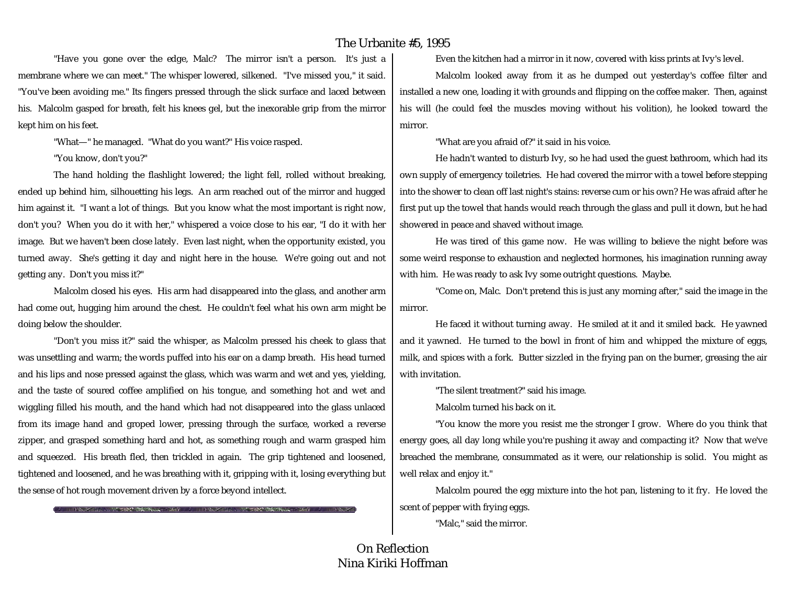"Have you gone over the edge, Malc? The mirror isn't a person. It's just a membrane where we can meet." The whisper lowered, silkened. "I've missed you," it said. "You've been avoiding me." Its fingers pressed through the slick surface and laced between his. Malcolm gasped for breath, felt his knees gel, but the inexorable grip from the mirror kept him on his feet.

"What—" he managed. "What do you want?" His voice rasped.

"You know, don't you?"

The hand holding the flashlight lowered; the light fell, rolled without breaking, ended up behind him, silhouetting his legs. An arm reached out of the mirror and hugged him against it. "I want a lot of things. But you know what the most important is right now, don't you? When you do it with her," whispered a voice close to his ear, "I do it with her image. But we haven't been close lately. Even last night, when the opportunity existed, you turned away. She's getting it day and night here in the house. We're going out and not getting any. Don't you miss it?"

Malcolm closed his eyes. His arm had disappeared into the glass, and another arm had come out, hugging him around the chest. He couldn't feel what his own arm might be doing below the shoulder.

"Don't you miss it?" said the whisper, as Malcolm pressed his cheek to glass that was unsettling and warm; the words puffed into his ear on a damp breath. His head turned and his lips and nose pressed against the glass, which was warm and wet and yes, yielding, and the taste of soured coffee amplified on his tongue, and something hot and wet and wiggling filled his mouth, and the hand which had not disappeared into the glass unlaced from its image hand and groped lower, pressing through the surface, worked a reverse zipper, and grasped something hard and hot, as something rough and warm grasped him and squeezed. His breath fled, then trickled in again. The grip tightened and loosened, tightened and loosened, and he was breathing with it, gripping with it, losing everything but the sense of hot rough movement driven by a force beyond intellect.

THE REPORT OF THE PERSON CONTROL COMPANY CONTROL CONTROL CONTROL CONTROL CONTROL CONTROL CONTROL CONTROL CONTROL CONTROL CONTROL CONTROL CONTROL CONTROL CONTROL CONTROL CONTROL CONTROL CONTROL CONTROL CONTROL CONTROL CONTR

Even the kitchen had a mirror in it now, covered with kiss prints at Ivy's level.

Malcolm looked away from it as he dumped out yesterday's coffee filter and installed a new one, loading it with grounds and flipping on the coffee maker. Then, against his will (he could feel the muscles moving without his volition), he looked toward the mirror.

"What are you afraid of?" it said in his voice.

He hadn't wanted to disturb Ivy, so he had used the guest bathroom, which had its own supply of emergency toiletries. He had covered the mirror with a towel before stepping into the shower to clean off last night's stains: reverse cum or his own? He was afraid after he first put up the towel that hands would reach through the glass and pull it down, but he had showered in peace and shaved without image.

He was tired of this game now. He was willing to believe the night before was some weird response to exhaustion and neglected hormones, his imagination running away with him. He was ready to ask Ivy some outright questions. Maybe.

"Come on, Malc. Don't pretend this is just any morning after," said the image in the mirror.

He faced it without turning away. He smiled at it and it smiled back. He yawned and it yawned. He turned to the bowl in front of him and whipped the mixture of eggs, milk, and spices with a fork. Butter sizzled in the frying pan on the burner, greasing the air with invitation.

"The silent treatment?" said his image.

Malcolm turned his back on it.

"You know the more you resist me the stronger I grow. Where do you think that energy goes, all day long while you're pushing it away and compacting it? Now that we've breached the membrane, consummated as it were, our relationship is solid. You might as well relax and enjoy it."

Malcolm poured the egg mixture into the hot pan, listening to it fry. He loved the scent of pepper with frying eggs.

"Malc," said the mirror.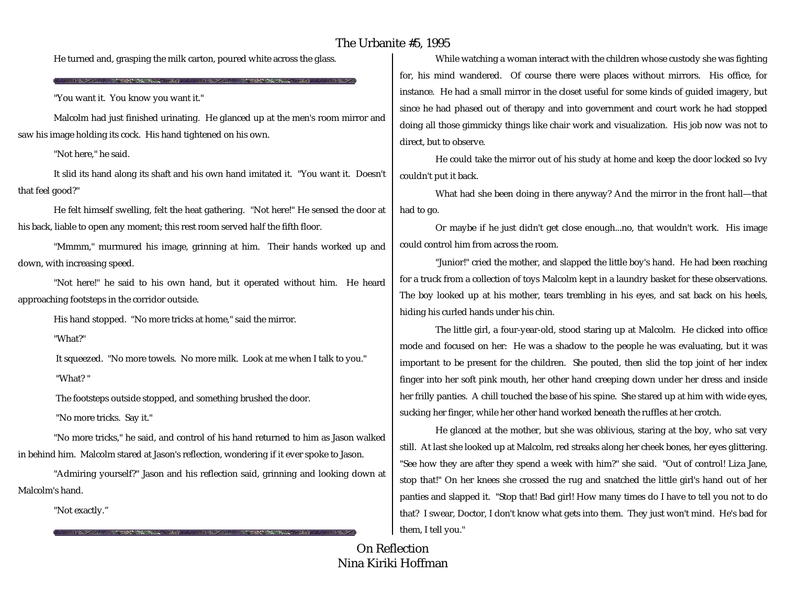He turned and, grasping the milk carton, poured white across the glass.

"You want it. You know you want it."

ANSWERS PRESERVED TO A TYPE

Malcolm had just finished urinating. He glanced up at the men's room mirror and saw his image holding its cock. His hand tightened on his own.

"Not here," he said.

It slid its hand along its shaft and his own hand imitated it. "You want it. Doesn't that feel good?"

He felt himself swelling, felt the heat gathering. "Not here!" He sensed the door at his back, liable to open any moment; this rest room served half the fifth floor.

"Mmmm," murmured his image, grinning at him. Their hands worked up and down, with increasing speed.

"Not here!" he said to his own hand, but it operated without him. He heard approaching footsteps in the corridor outside.

His hand stopped. "No more tricks at home," said the mirror.

"What?"

It squeezed. "No more towels. No more milk. Look at me when I talk to you." "What? "

The footsteps outside stopped, and something brushed the door.

"No more tricks. Say it."

THE WARD COMMUNICATION OF THE RESIDENCE OF THE CARD COMMUNICATION.

"No more tricks," he said, and control of his hand returned to him as Jason walked in behind him. Malcolm stared at Jason's reflection, wondering if it ever spoke to Jason.

"Admiring yourself?" Jason and his reflection said, grinning and looking down at Malcolm's hand.

"Not exactly."

While watching a woman interact with the children whose custody she was fighting for, his mind wandered. Of course there were places without mirrors. His office, for instance. He had a small mirror in the closet useful for some kinds of guided imagery, but since he had phased out of therapy and into government and court work he had stopped doing all those gimmicky things like chair work and visualization. His job now was not to direct, but to observe.

He could take the mirror out of his study at home and keep the door locked so Ivy couldn't put it back.

What had she been doing in there anyway? And the mirror in the front hall—that had to go.

Or maybe if he just didn't get close enough...no, that wouldn't work. His image could control him from across the room.

"Junior!" cried the mother, and slapped the little boy's hand. He had been reaching for a truck from a collection of toys Malcolm kept in a laundry basket for these observations. The boy looked up at his mother, tears trembling in his eyes, and sat back on his heels, hiding his curled hands under his chin.

The little girl, a four-year-old, stood staring up at Malcolm. He clicked into office mode and focused on her: He was a shadow to the people he was evaluating, but it was important to be present for the children. She pouted, then slid the top joint of her index finger into her soft pink mouth, her other hand creeping down under her dress and inside her frilly panties. A chill touched the base of his spine. She stared up at him with wide eyes, sucking her finger, while her other hand worked beneath the ruffles at her crotch.

He glanced at the mother, but she was oblivious, staring at the boy, who sat very still. At last she looked up at Malcolm, red streaks along her cheek bones, her eyes glittering. "See how they are after they spend a week with him?" she said. "Out of control! Liza Jane, stop that!" On her knees she crossed the rug and snatched the little girl's hand out of her panties and slapped it. "Stop that! Bad girl! How many times do I have to tell you not to do that? I swear, Doctor, I don't know what gets into them. They just won't mind. He's bad for them, I tell you."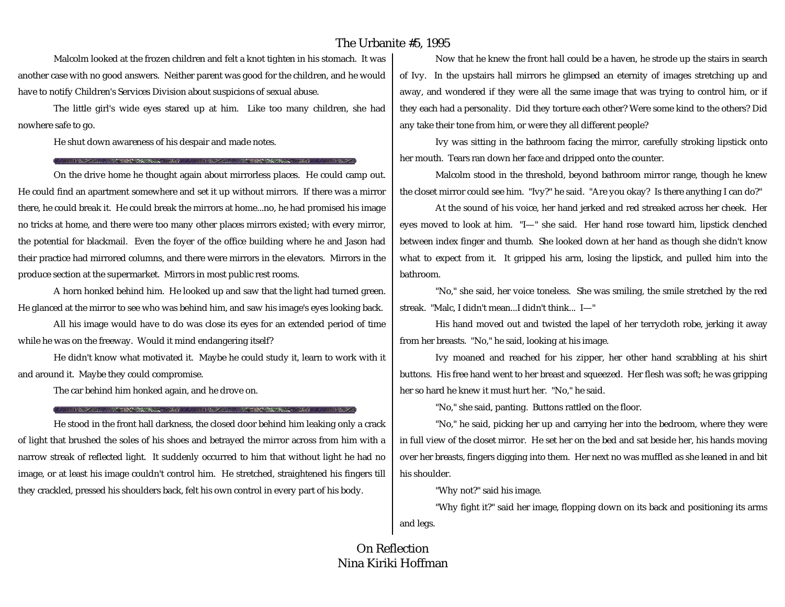Malcolm looked at the frozen children and felt a knot tighten in his stomach. It was another case with no good answers. Neither parent was good for the children, and he would have to notify Children's Services Division about suspicions of sexual abuse.

The little girl's wide eyes stared up at him. Like too many children, she had nowhere safe to go.

He shut down awareness of his despair and made notes.

THE PERSONAL PLAY A THREE TANK WAS TRANSPORTED TO THE

On the drive home he thought again about mirrorless places. He could camp out. He could find an apartment somewhere and set it up without mirrors. If there was a mirror there, he could break it. He could break the mirrors at home...no, he had promised his image no tricks at home, and there were too many other places mirrors existed; with every mirror, the potential for blackmail. Even the foyer of the office building where he and Jason had their practice had mirrored columns, and there were mirrors in the elevators. Mirrors in the produce section at the supermarket. Mirrors in most public rest rooms.

A horn honked behind him. He looked up and saw that the light had turned green. He glanced at the mirror to see who was behind him, and saw his image's eyes looking back.

All his image would have to do was close its eyes for an extended period of time while he was on the freeway. Would it mind endangering itself?

He didn't know what motivated it. Maybe he could study it, learn to work with it and around it. Maybe they could compromise.

The car behind him honked again, and he drove on.

**A START AND A REPORT OF A START AND A REPORT OF A START AND A REPORT OF A START AND A REPORT OF A START AND A START AND A START AND A START AND A START AND A START AND A START AND A START AND A START AND A START AND A STA** 

He stood in the front hall darkness, the closed door behind him leaking only a crack of light that brushed the soles of his shoes and betrayed the mirror across from him with a narrow streak of reflected light. It suddenly occurred to him that without light he had no image, or at least his image couldn't control him. He stretched, straightened his fingers till they crackled, pressed his shoulders back, felt his own control in every part of his body.

Now that he knew the front hall could be a haven, he strode up the stairs in search of Ivy. In the upstairs hall mirrors he glimpsed an eternity of images stretching up and away, and wondered if they were all the same image that was trying to control him, or if they each had a personality. Did they torture each other? Were some kind to the others? Did any take their tone from him, or were they all different people?

Ivy was sitting in the bathroom facing the mirror, carefully stroking lipstick onto her mouth. Tears ran down her face and dripped onto the counter.

Malcolm stood in the threshold, beyond bathroom mirror range, though he knew the closet mirror could see him. "Ivy?" he said. "Are you okay? Is there anything I can do?"

At the sound of his voice, her hand jerked and red streaked across her cheek. Her eyes moved to look at him. "I—" she said. Her hand rose toward him, lipstick clenched between index finger and thumb. She looked down at her hand as though she didn't know what to expect from it. It gripped his arm, losing the lipstick, and pulled him into the bathroom.

"No," she said, her voice toneless. She was smiling, the smile stretched by the red streak. "Malc, I didn't mean...I didn't think... I—"

His hand moved out and twisted the lapel of her terrycloth robe, jerking it away from her breasts. "No," he said, looking at his image.

Ivy moaned and reached for his zipper, her other hand scrabbling at his shirt buttons. His free hand went to her breast and squeezed. Her flesh was soft; he was gripping her so hard he knew it must hurt her. "No," he said.

"No," she said, panting. Buttons rattled on the floor.

"No," he said, picking her up and carrying her into the bedroom, where they were in full view of the closet mirror. He set her on the bed and sat beside her, his hands moving over her breasts, fingers digging into them. Her next no was muffled as she leaned in and bit his shoulder.

"Why not?" said his image.

"Why fight it?" said her image, flopping down on its back and positioning its arms and legs.